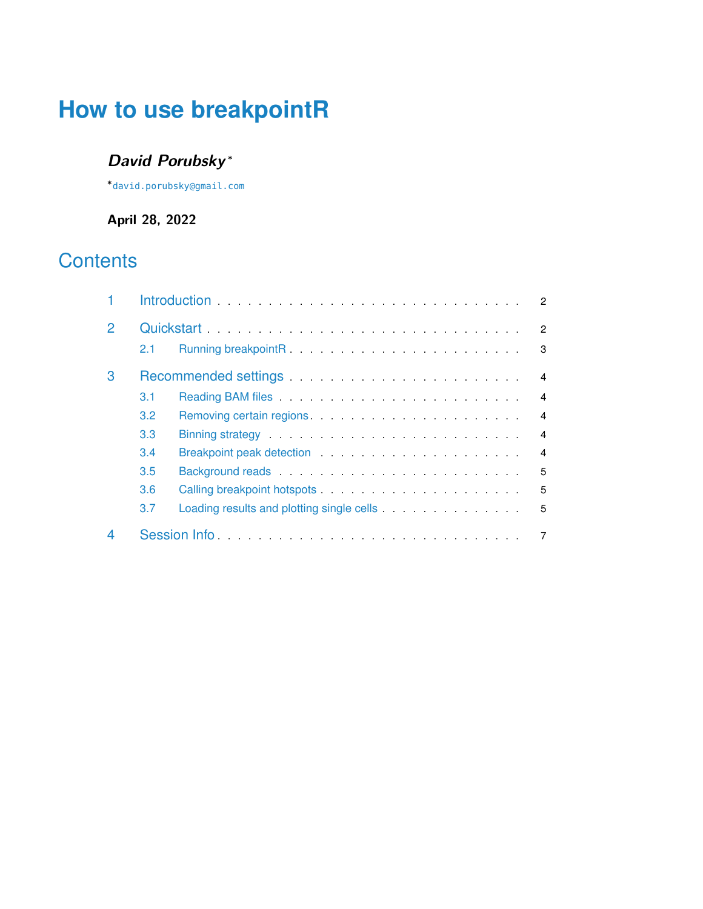# **How to use breakpointR**

## **David Porubsky** <sup>∗</sup>

∗ [david.porubsky@gmail.com](mailto:david.porubsky@gmail.com)

**April 28, 2022**

## **Contents**

|              |     |                                                                                                                                                                                                                                     | 2              |
|--------------|-----|-------------------------------------------------------------------------------------------------------------------------------------------------------------------------------------------------------------------------------------|----------------|
| $\mathcal P$ |     |                                                                                                                                                                                                                                     | $\mathcal{P}$  |
|              | 2.1 |                                                                                                                                                                                                                                     | 3              |
| 3            | 4   |                                                                                                                                                                                                                                     |                |
|              | 3.1 |                                                                                                                                                                                                                                     | $\overline{4}$ |
|              | 3.2 | Removing certain regions entitled and a series of the series of the series of the series of the series of the                                                                                                                       | $\overline{4}$ |
|              | 3.3 | Binning strategy entertainment and the state of the strategy and the state of the strategy and the strategy and                                                                                                                     | $\overline{4}$ |
|              | 3.4 | Breakpoint peak detection entitled and a series of the series of the series of the series of the series of the                                                                                                                      | 4              |
|              | 3.5 |                                                                                                                                                                                                                                     | 5              |
|              | 3.6 |                                                                                                                                                                                                                                     | 5              |
|              | 3.7 | Loading results and plotting single cells <b>Example 2</b> is a set of the set of the set of the set of the set of the set of the set of the set of the set of the set of the set of the set of the set of the set of the set of th | 5              |
|              |     |                                                                                                                                                                                                                                     |                |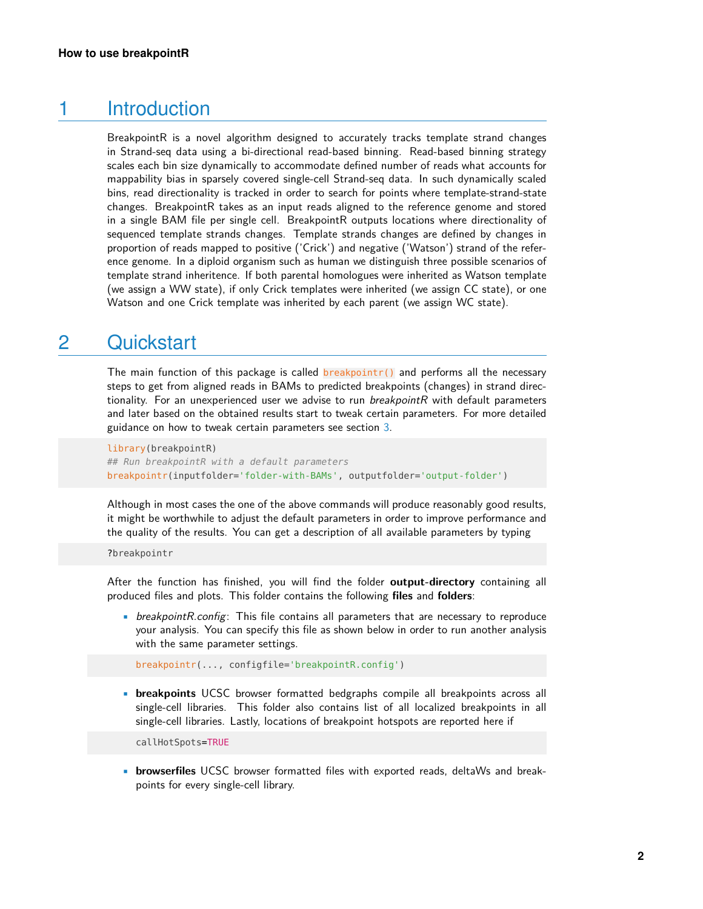### 1 Introduction

<span id="page-1-0"></span>BreakpointR is a novel algorithm designed to accurately tracks template strand changes in Strand-seq data using a bi-directional read-based binning. Read-based binning strategy scales each bin size dynamically to accommodate defined number of reads what accounts for mappability bias in sparsely covered single-cell Strand-seq data. In such dynamically scaled bins, read directionality is tracked in order to search for points where template-strand-state changes. BreakpointR takes as an input reads aligned to the reference genome and stored in a single BAM file per single cell. BreakpointR outputs locations where directionality of sequenced template strands changes. Template strands changes are defined by changes in proportion of reads mapped to positive ('Crick') and negative ('Watson') strand of the reference genome. In a diploid organism such as human we distinguish three possible scenarios of template strand inheritence. If both parental homologues were inherited as Watson template (we assign a WW state), if only Crick templates were inherited (we assign CC state), or one Watson and one Crick template was inherited by each parent (we assign WC state).

## <span id="page-1-1"></span>2 Quickstart

The main function of this package is called  $b$ reakpointr() and performs all the necessary steps to get from aligned reads in BAMs to predicted breakpoints (changes) in strand directionality. For an unexperienced user we advise to run *breakpointR* with default parameters and later based on the obtained results start to tweak certain parameters. For more detailed guidance on how to tweak certain parameters see section [3.](#page-3-0)

```
library(breakpointR)
## Run breakpointR with a default parameters
breakpointr(inputfolder='folder-with-BAMs', outputfolder='output-folder')
```
Although in most cases the one of the above commands will produce reasonably good results, it might be worthwhile to adjust the default parameters in order to improve performance and the quality of the results. You can get a description of all available parameters by typing

#### ?breakpointr

After the function has finished, you will find the folder **output-directory** containing all produced files and plots. This folder contains the following **files** and **folders**:

• breakpointR.config: This file contains all parameters that are necessary to reproduce your analysis. You can specify this file as shown below in order to run another analysis with the same parameter settings.

breakpointr(..., configfile='breakpointR.config')

• **breakpoints** UCSC browser formatted bedgraphs compile all breakpoints across all single-cell libraries. This folder also contains list of all localized breakpoints in all single-cell libraries. Lastly, locations of breakpoint hotspots are reported here if

callHotSpots=TRUE

• **browserfiles** UCSC browser formatted files with exported reads, deltaWs and breakpoints for every single-cell library.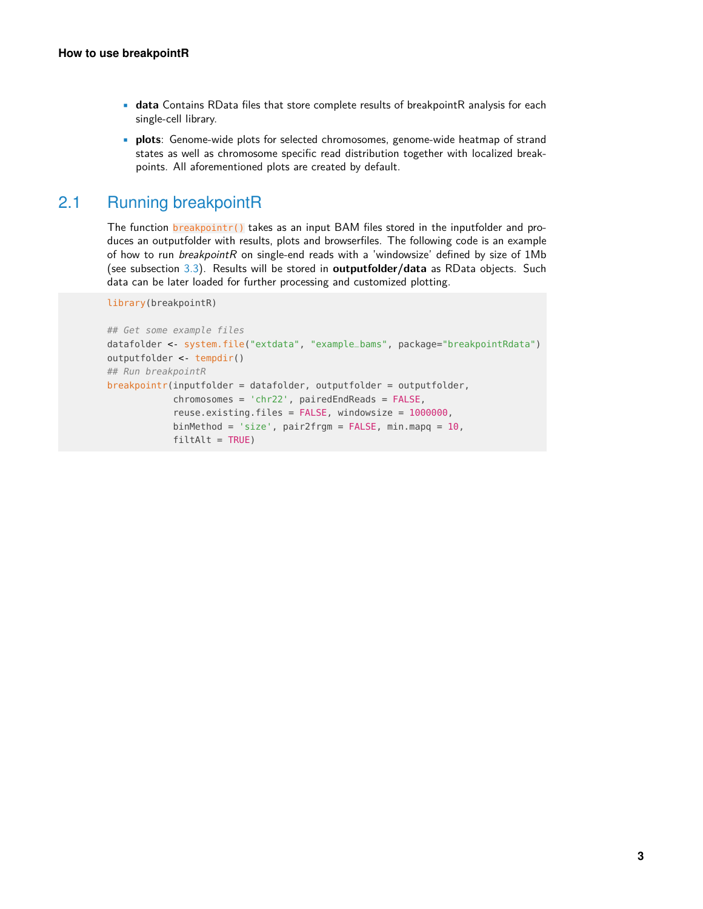- **data** Contains RData files that store complete results of breakpointR analysis for each single-cell library.
- <span id="page-2-0"></span>• **plots**: Genome-wide plots for selected chromosomes, genome-wide heatmap of strand states as well as chromosome specific read distribution together with localized breakpoints. All aforementioned plots are created by default.

#### 2.1 Running breakpointR

The function breakpointr() takes as an input BAM files stored in the inputfolder and produces an outputfolder with results, plots and browserfiles. The following code is an example of how to run breakpointR on single-end reads with a 'windowsize' defined by size of 1Mb (see subsection [3.3\)](#page-3-3). Results will be stored in **outputfolder/data** as RData objects. Such data can be later loaded for further processing and customized plotting.

library(breakpointR)

```
## Get some example files
datafolder <- system.file("extdata", "example_bams", package="breakpointRdata")
outputfolder <- tempdir()
## Run breakpointR
breakpointr(inputfolder = datafolder, outputfolder = outputfolder,
            chromosomes = 'chr22', pairedEndReads = FALSE,
            reuse.existing.files = FALSE, windowsize = 1000000,
            binMethod = 'size', pair2frgm = FALSE, min.mapq = 10,
            filter = TRUE)
```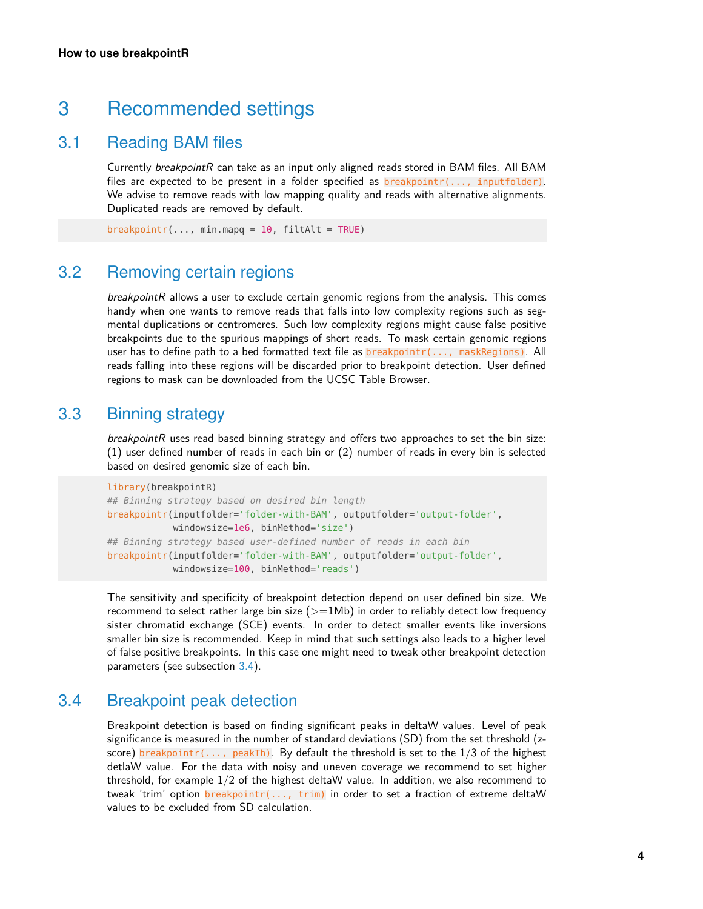## <span id="page-3-0"></span>3 Recommended settings

#### 3.1 Reading BAM files

<span id="page-3-1"></span>Currently breakpointR can take as an input only aligned reads stored in BAM files. All BAM files are expected to be present in a folder specified as  $breakpointr(..., inputfolder)$ . We advise to remove reads with low mapping quality and reads with alternative alignments. Duplicated reads are removed by default.

<span id="page-3-2"></span> $breakpoint(r(..., minmapq = 10, filter11t) = TRUE)$ 

#### 3.2 Removing certain regions

 $breakpointR$  allows a user to exclude certain genomic regions from the analysis. This comes handy when one wants to remove reads that falls into low complexity regions such as segmental duplications or centromeres. Such low complexity regions might cause false positive breakpoints due to the spurious mappings of short reads. To mask certain genomic regions user has to define path to a bed formatted text file as **breakpointr(...,** maskRegions). All reads falling into these regions will be discarded prior to breakpoint detection. User defined regions to mask can be downloaded from the UCSC Table Browser.

#### 3.3 Binning strategy

<span id="page-3-3"></span>breakpointR uses read based binning strategy and offers two approaches to set the bin size: (1) user defined number of reads in each bin or (2) number of reads in every bin is selected based on desired genomic size of each bin.

```
library(breakpointR)
## Binning strategy based on desired bin length
breakpointr(inputfolder='folder-with-BAM', outputfolder='output-folder',
            windowsize=1e6, binMethod='size')
## Binning strategy based user-defined number of reads in each bin
breakpointr(inputfolder='folder-with-BAM', outputfolder='output-folder',
            windowsize=100, binMethod='reads')
```
The sensitivity and specificity of breakpoint detection depend on user defined bin size. We recommend to select rather large bin size  $(>=1Mb)$  in order to reliably detect low frequency sister chromatid exchange (SCE) events. In order to detect smaller events like inversions smaller bin size is recommended. Keep in mind that such settings also leads to a higher level of false positive breakpoints. In this case one might need to tweak other breakpoint detection parameters (see subsection [3.4\)](#page-3-4).

#### 3.4 Breakpoint peak detection

<span id="page-3-4"></span>Breakpoint detection is based on finding significant peaks in deltaW values. Level of peak significance is measured in the number of standard deviations (SD) from the set threshold (zscore) breakpointr(..., peakTh). By default the threshold is set to the  $1/3$  of the highest detlaW value. For the data with noisy and uneven coverage we recommend to set higher threshold, for example 1/2 of the highest deltaW value. In addition, we also recommend to tweak 'trim' option breakpointr(..., trim) in order to set a fraction of extreme deltaW values to be excluded from SD calculation.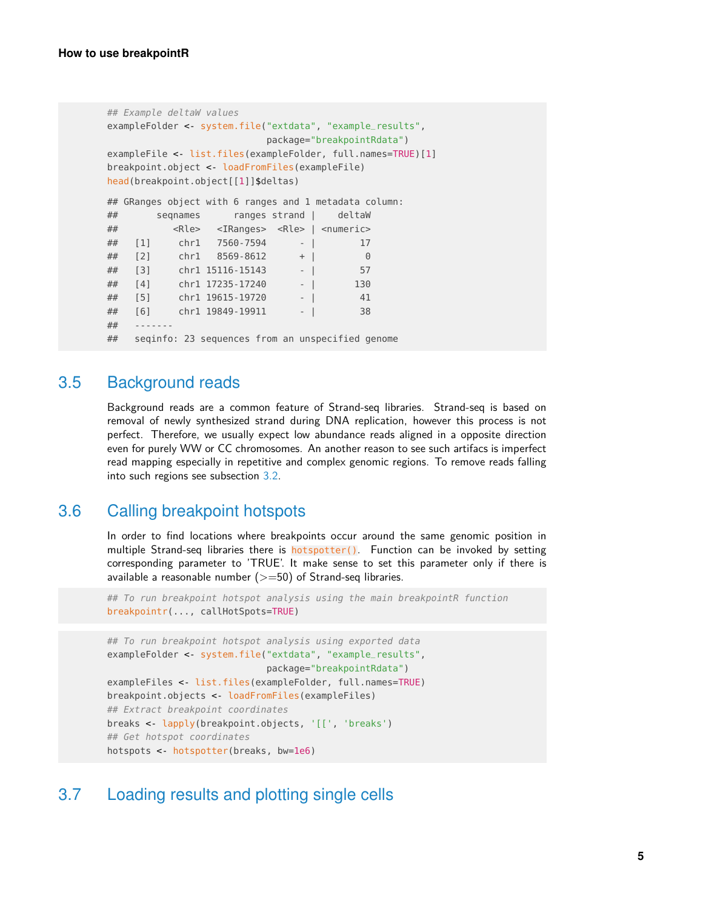```
## Example deltaW values
exampleFolder <- system.file("extdata", "example_results",
                        package="breakpointRdata")
exampleFile < list.files(exampleFolder, full.names=TRUE)[1]
breakpoint.object <- loadFromFiles(exampleFile)
head(breakpoint.object[[1]]$deltas)
## GRanges object with 6 ranges and 1 metadata column:
## seqnames ranges strand | deltaW
## <Rle> <IRanges> <Rle> | <numeric>
## [1] chr1 7560-7594 - | 17
## [2] chr1 8569-8612 + | 0
## [3] chr1 15116-15143 - | 57
## [4] chr1 17235-17240 - | 130
## [5] chr1 19615-19720 - | 41
## [6] chr1 19849-19911 - | 38
## -------
## seqinfo: 23 sequences from an unspecified genome
```
### 3.5 Background reads

<span id="page-4-0"></span>Background reads are a common feature of Strand-seq libraries. Strand-seq is based on removal of newly synthesized strand during DNA replication, however this process is not perfect. Therefore, we usually expect low abundance reads aligned in a opposite direction even for purely WW or CC chromosomes. An another reason to see such artifacs is imperfect read mapping especially in repetitive and complex genomic regions. To remove reads falling into such regions see subsection [3.2.](#page-3-2)

#### 3.6 Calling breakpoint hotspots

<span id="page-4-1"></span>In order to find locations where breakpoints occur around the same genomic position in multiple Strand-seq libraries there is  $hotspotten()$ . Function can be invoked by setting corresponding parameter to 'TRUE'. It make sense to set this parameter only if there is available a reasonable number  $(>=50)$  of Strand-seq libraries.

## To run breakpoint hotspot analysis using the main breakpointR function breakpointr(..., callHotSpots=TRUE)

```
## To run breakpoint hotspot analysis using exported data
exampleFolder <- system.file("extdata", "example_results",
                             package="breakpointRdata")
exampleFiles <- list.files(exampleFolder, full.names=TRUE)
breakpoint.objects <- loadFromFiles(exampleFiles)
## Extract breakpoint coordinates
breaks <- lapply(breakpoint.objects, '[[', 'breaks')
## Get hotspot coordinates
hotspots <- hotspotter(breaks, bw=1e6)
```
#### <span id="page-4-2"></span>3.7 Loading results and plotting single cells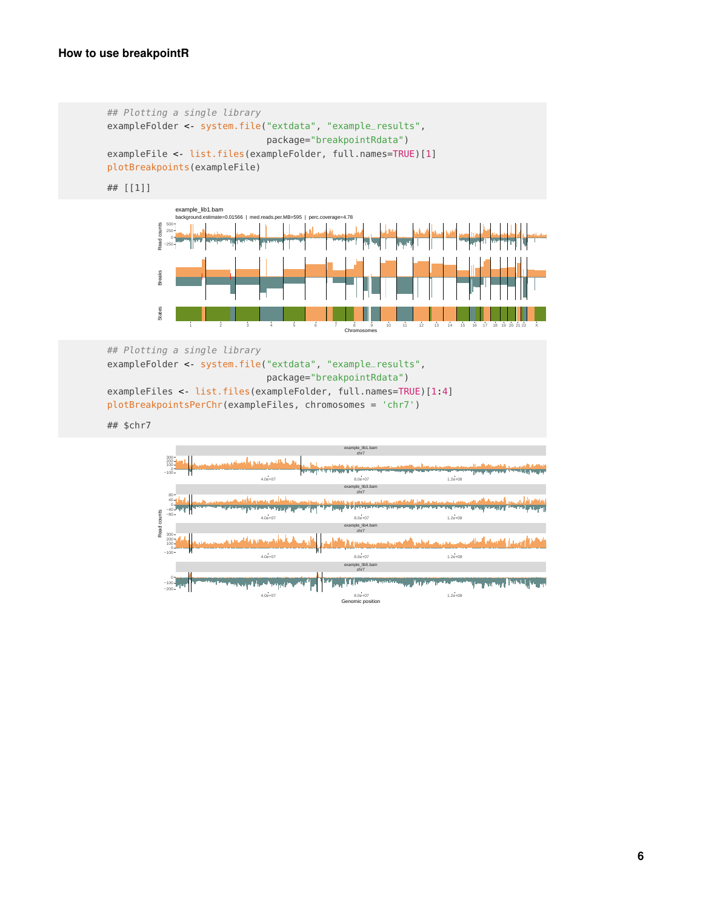```
## Plotting a single library
exampleFolder <- system.file("extdata", "example_results",
                                            package="breakpointRdata")
exampleFile <- list.files(exampleFolder, full.names=TRUE)[1]
plotBreakpoints(exampleFile)
## [[1]]
                   example_lib1.bam<br>background.estimate=0.
                   background.estimate=0.01566 | med.reads.per.MB=595 | perc.coverage=4.78
              Read counts
                 0
250
500
              tead
                −250
              Breaks
                          | |
              States
                       1 2 3 4 5 6 7 8 9 10 11 12 13 14 15 16 17 18 19 20 21 22 X
                                                                  Chromosomes
## Plotting a single library
exampleFolder <- system.file("extdata", "example_results",
                                            package="breakpointRdata")
exampleFiles <- list.files(exampleFolder, full.names=TRUE)[1:4]
plotBreakpointsPerChr(exampleFiles, chromosomes = 'chr7')
## $chr7
                                                                  example_lib1.bam
chr7
                 0
100
200
300
                                   بأخلتين وجزيع وأنقيتها
                                                                                                     Luckshire Hotel Labority
                                                                  ▎▙▘▘▚▖
                −100
                                           4.0e+07 8.0e+07 1.2e+08
                                                                  example_lib3.bam
chr7
                 80
                                        i<br>Primer ve papa
                 40
                                                                 <u>in die partiese verkli</u>j
                                                                                            اما آثاف عمله من عمل بوج.<br>تقوی د تورد در پورو من
                                                                                                         بامریس <mark>با راهیم مرد</mark>
              Read counts
                 −40
              Read counts
                 −80
                                           4.0e+07 8.0e+07 1.2e+08
                                                                  example_lib4.bam
chr7
                 300
                                      الأفارسيستانية فأما
                                                                                            كفافة وسينوا الفساف ألعناهم بمستفقين
                 200
                                                                اصحح إيراه وأنأ
                 100
                −100
                                           4.0e+07 8.0e+07 1.2e+08
                                                                  example_lib5.bam
chr7
                                                                  Tip
                0<br>100−
                                   المرتقع وأنعمه أوالح ويرتعان
                                                                                           in the company party of the party of the party of the
                −200
```
4.0e+07 8.0e+07 1.2e+08 Genomic position